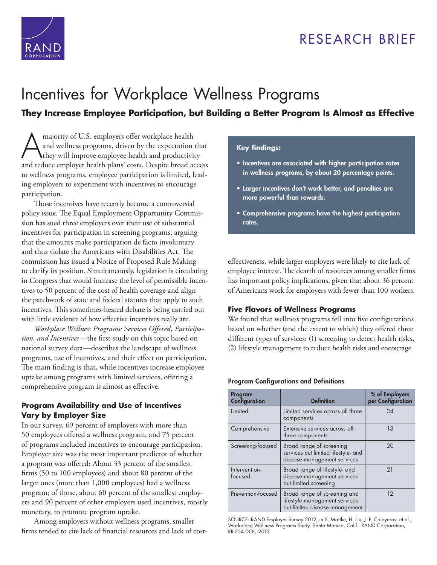

# RESEARCH BRIEF

# [Incentives for Workplace Wellness Programs](http://www.rand.org/pubs/research_briefs/RB9842.html)

# **They Increase Employee Participation, but Building a Better Program Is Almost as Effective**

majority of U.S. employers offer workplace health<br>and wellness programs, driven by the expectation<br>they will improve employee health and productivity<br>and reduce employer health plane, costs. Despite broad 20 and wellness programs, driven by the expectation that they will improve employee health and productivity and reduce employer health plans' costs. Despite broad access to wellness programs, employee participation is limited, leading employers to experiment with incentives to encourage participation.

Those incentives have recently become a controversial policy issue. The Equal Employment Opportunity Commission has sued three employers over their use of substantial incentives for participation in screening programs, arguing that the amounts make participation de facto involuntary and thus violate the Americans with Disabilities Act. The commission has issued a Notice of Proposed Rule Making to clarify its position. Simultaneously, legislation is circulating in Congress that would increase the level of permissible incentives to 50 percent of the cost of health coverage and align the patchwork of state and federal statutes that apply to such incentives. This sometimes-heated debate is being carried out with little evidence of how effective incentives really are.

*Workplace Wellness Programs: Services Offered, Participation, and Incentives*—the first study on this topic based on national survey data—describes the landscape of wellness programs, use of incentives, and their effect on participation. The main finding is that, while incentives increase employee uptake among programs with limited services, offering a comprehensive program is almost as effective.

# **Program Availability and Use of Incentives Vary by Employer Size**

In our survey, 69 percent of employers with more than 50 employees offered a wellness program, and 75 percent of programs included incentives to encourage participation. Employer size was the most important predictor of whether a program was offered: About 33 percent of the smallest firms (50 to 100 employees) and about 80 percent of the larger ones (more than 1,000 employees) had a wellness program; of those, about 60 percent of the smallest employers and 90 percent of other employers used incentives, mostly monetary, to promote program uptake.

Among employers without wellness programs, smaller firms tended to cite lack of financial resources and lack of cost-

## **Key findings:**

- Incentives are associated with higher participation rates in wellness programs, by about 20 percentage points.
- Larger incentives don't work better, and penalties are more powerful than rewards.
- Comprehensive programs have the highest participation rates.

effectiveness, while larger employers were likely to cite lack of employee interest. The dearth of resources among smaller firms has important policy implications, given that about 36 percent of Americans work for employers with fewer than 100 workers.

# **Five Flavors of Wellness Programs**

We found that wellness programs fell into five configurations based on whether (and the extent to which) they offered three different types of services: (1) screening to detect health risks, (2) lifestyle management to reduce health risks and encourage

#### Program Configurations and Definitions

| Program<br>Configuration | <b>Definition</b>                                                                               | % of Employers<br>per Configuration |
|--------------------------|-------------------------------------------------------------------------------------------------|-------------------------------------|
| Limited                  | Limited services across all three<br>components                                                 | 34                                  |
| Comprehensive            | Extensive services across all<br>three components                                               | 13                                  |
| Screening-focused        | Broad range of screening<br>services but limited lifestyle- and<br>disease-management services  | 20                                  |
| Intervention-<br>focused | Broad range of lifestyle- and<br>disease-management services<br>but limited screening           | 21                                  |
| Prevention-focused       | Broad range of screening and<br>lifestyle-management services<br>but limited disease management | 12                                  |

SOURCE: RAND Employer Survey 2012, in S. Mattke, H. Liu, J. P. Caloyeras, et al., Workplace Wellness Programs Study, Santa Monica, Calif.: RAND Corporation, RR-254-DOL, 2013.